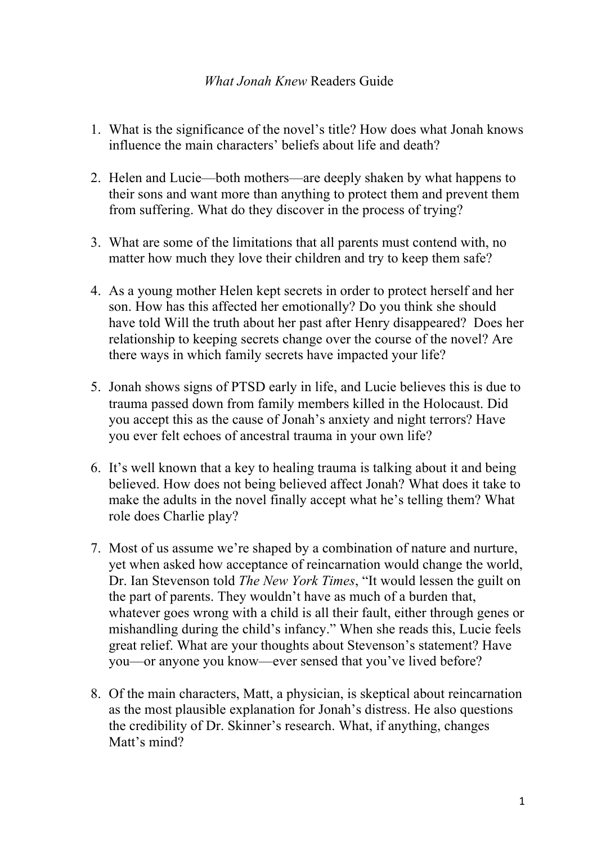## *What Jonah Knew* Readers Guide

- 1. What is the significance of the novel's title? How does what Jonah knows influence the main characters' beliefs about life and death?
- 2. Helen and Lucie—both mothers—are deeply shaken by what happens to their sons and want more than anything to protect them and prevent them from suffering. What do they discover in the process of trying?
- 3. What are some of the limitations that all parents must contend with, no matter how much they love their children and try to keep them safe?
- 4. As a young mother Helen kept secrets in order to protect herself and her son. How has this affected her emotionally? Do you think she should have told Will the truth about her past after Henry disappeared? Does her relationship to keeping secrets change over the course of the novel? Are there ways in which family secrets have impacted your life?
- 5. Jonah shows signs of PTSD early in life, and Lucie believes this is due to trauma passed down from family members killed in the Holocaust. Did you accept this as the cause of Jonah's anxiety and night terrors? Have you ever felt echoes of ancestral trauma in your own life?
- 6. It's well known that a key to healing trauma is talking about it and being believed. How does not being believed affect Jonah? What does it take to make the adults in the novel finally accept what he's telling them? What role does Charlie play?
- 7. Most of us assume we're shaped by a combination of nature and nurture, yet when asked how acceptance of reincarnation would change the world, Dr. Ian Stevenson told *The New York Times*, "It would lessen the guilt on the part of parents. They wouldn't have as much of a burden that, whatever goes wrong with a child is all their fault, either through genes or mishandling during the child's infancy." When she reads this, Lucie feels great relief. What are your thoughts about Stevenson's statement? Have you—or anyone you know—ever sensed that you've lived before?
- 8. Of the main characters, Matt, a physician, is skeptical about reincarnation as the most plausible explanation for Jonah's distress. He also questions the credibility of Dr. Skinner's research. What, if anything, changes Matt's mind?